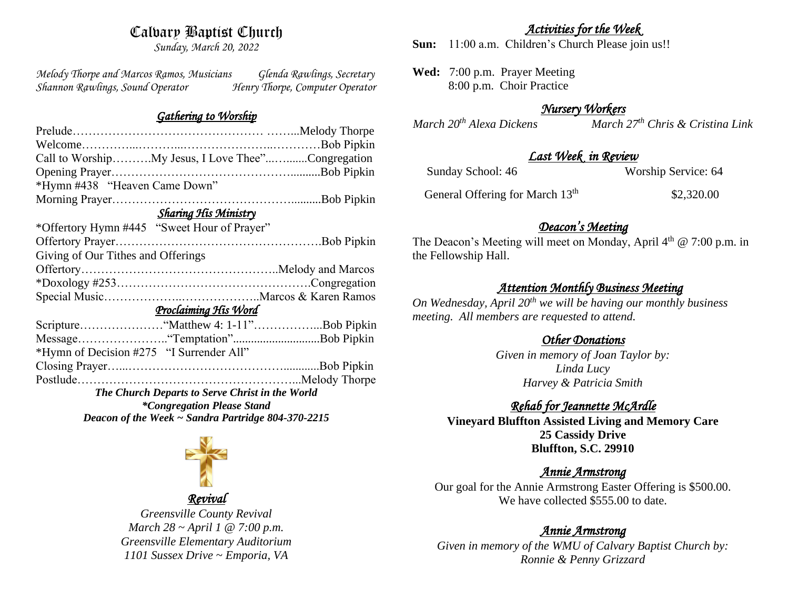# Calvary Baptist Church

*Sunday, March 20, 2022*

*Melody Thorpe and Marcos Ramos, Musicians Glenda Rawlings, Secretary Shannon Rawlings, Sound Operator Henry Thorpe, Computer Operator* 

#### *Gathering to Worship*

| Call to WorshipMy Jesus, I Love Thee"Congregation  |  |  |
|----------------------------------------------------|--|--|
|                                                    |  |  |
| *Hymn #438 "Heaven Came Down"                      |  |  |
|                                                    |  |  |
| <b>Sharing His Ministry</b>                        |  |  |
| *Offertory Hymn #445 "Sweet Hour of Prayer"        |  |  |
|                                                    |  |  |
| Giving of Our Tithes and Offerings                 |  |  |
|                                                    |  |  |
|                                                    |  |  |
|                                                    |  |  |
| Proclaiming His Word                               |  |  |
|                                                    |  |  |
|                                                    |  |  |
| *Hymn of Decision #275 "I Surrender All"           |  |  |
|                                                    |  |  |
|                                                    |  |  |
| The Church Departs to Serve Christ in the World    |  |  |
| <i>*Congregation Please Stand</i>                  |  |  |
| Deacon of the Week ~ Sandra Partridge 804-370-2215 |  |  |

*Revival Greensville County Revival March 28 ~ April 1 @ 7:00 p.m. Greensville Elementary Auditorium 1101 Sussex Drive ~ Emporia, VA*

## *Activities for the Week*

**Sun:** 11:00 a.m. Children's Church Please join us!!

**Wed:** 7:00 p.m. Prayer Meeting 8:00 p.m. Choir Practice

# *Nursery Workers*

*March 20th Alexa Dickens March 27th Chris & Cristina Link* 

## *Last Week in Review*

| Sunday School: 46 | Worship Service: 64 |
|-------------------|---------------------|
|                   |                     |

General Offering for March 13<sup>th</sup>

\$2,320.00

# *Deacon's Meeting*

The Deacon's Meeting will meet on Monday, April  $4<sup>th</sup>$  @ 7:00 p.m. in the Fellowship Hall.

# *Attention Monthly Business Meeting*

*On Wednesday, April 20th we will be having our monthly business meeting. All members are requested to attend.* 

# *Other Donations*

*Given in memory of Joan Taylor by: Linda Lucy Harvey & Patricia Smith*

# *Rehab for Jeannette McArdle*

**Vineyard Bluffton Assisted Living and Memory Care 25 Cassidy Drive Bluffton, S.C. 29910**

# *Annie Armstrong*

Our goal for the Annie Armstrong Easter Offering is \$500.00. We have collected \$555.00 to date.

# *Annie Armstrong*

*Given in memory of the WMU of Calvary Baptist Church by: Ronnie & Penny Grizzard*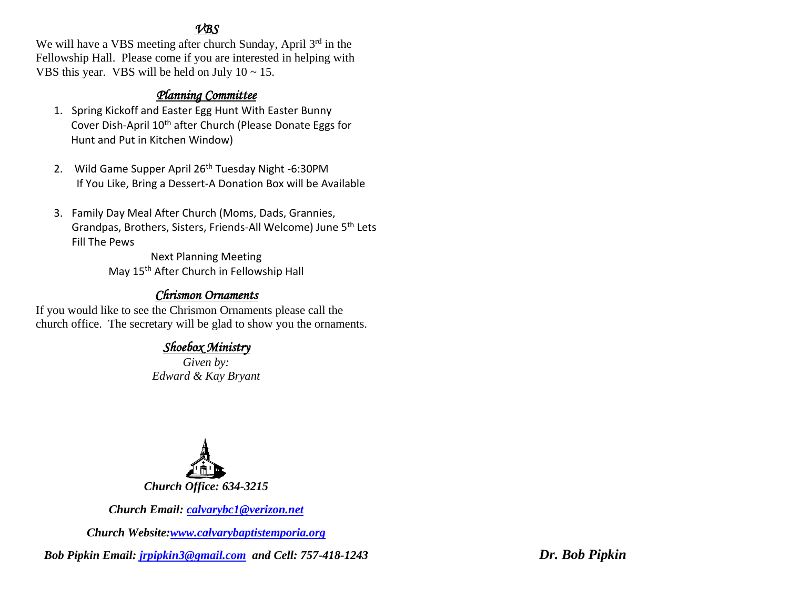## *VBS*

We will have a VBS meeting after church Sunday, April 3<sup>rd</sup> in the Fellowship Hall. Please come if you are interested in helping with VBS this year. VBS will be held on July  $10 \sim 15$ .

## *Planning Committee*

- 1. Spring Kickoff and Easter Egg Hunt With Easter Bunny Cover Dish-April 10<sup>th</sup> after Church (Please Donate Eggs for Hunt and Put in Kitchen Window)
- 2. Wild Game Supper April 26<sup>th</sup> Tuesday Night -6:30PM If You Like, Bring a Dessert-A Donation Box will be Available
- 3. Family Day Meal After Church (Moms, Dads, Grannies, Grandpas, Brothers, Sisters, Friends-All Welcome) June 5th Lets Fill The Pews

Next Planning Meeting May 15th After Church in Fellowship Hall

# *Chrismon Ornaments*

If you would like to see the Chrismon Ornaments please call the church office. The secretary will be glad to show you the ornaments.

# *Shoebox Ministry*

*Given by: Edward & Kay Bryant*



*Church Email: [calvarybc1@verizon.net](mailto:cbcemporiaoffice@gmail.com)*

*Church Website[:www.calvarybaptistemporia.org](http://www.calvarybaptistemporia.org/)*

*Bob Pipkin Email: [jrpipkin3@gmail.com](mailto:jrpipkin3@gmail.com) and Cell: 757-418-1243 Dr. Bob Pipkin*